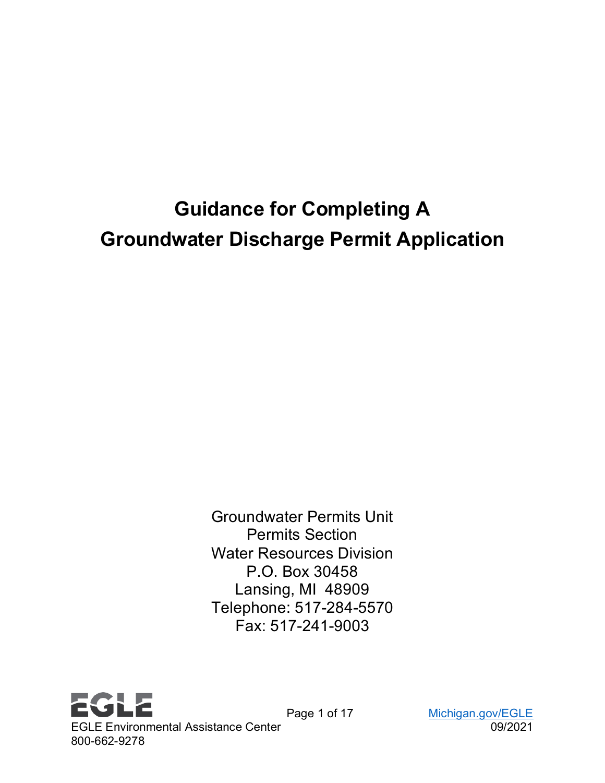# **Guidance for Completing A Groundwater Discharge Permit Application**

Groundwater Permits Unit Permits Section Water Resources Division P.O. Box 30458 Lansing, MI 48909 Telephone: 517-284-5570 Fax: 517-241-9003

**EGLE** EGLE Environmental Assistance Center 09/2021 800-662-9278

Page 1 of 17 [Michigan.gov/EGLE](http://www.michigan.gov/egle)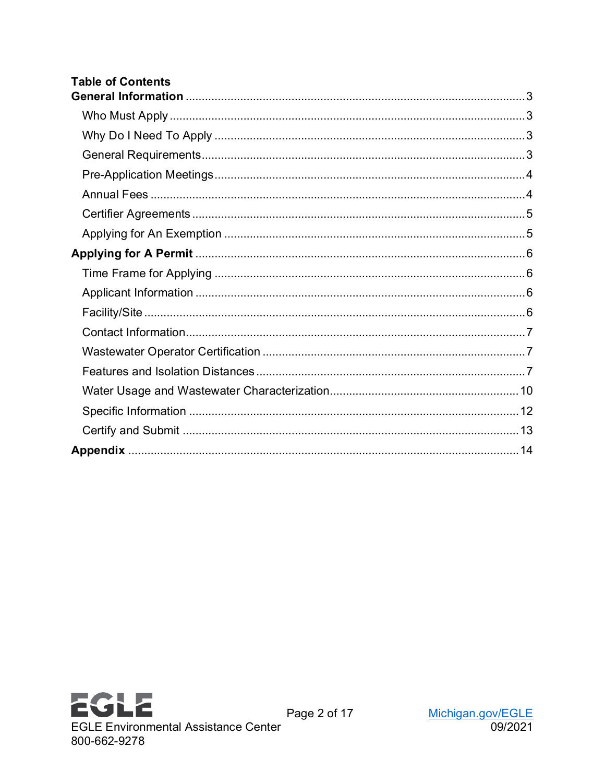| <b>Table of Contents</b> |  |
|--------------------------|--|
|                          |  |
|                          |  |
|                          |  |
|                          |  |
|                          |  |
|                          |  |
|                          |  |
|                          |  |
|                          |  |
|                          |  |
|                          |  |
|                          |  |
|                          |  |
|                          |  |
|                          |  |
|                          |  |
|                          |  |
|                          |  |
|                          |  |



Page 2 of 17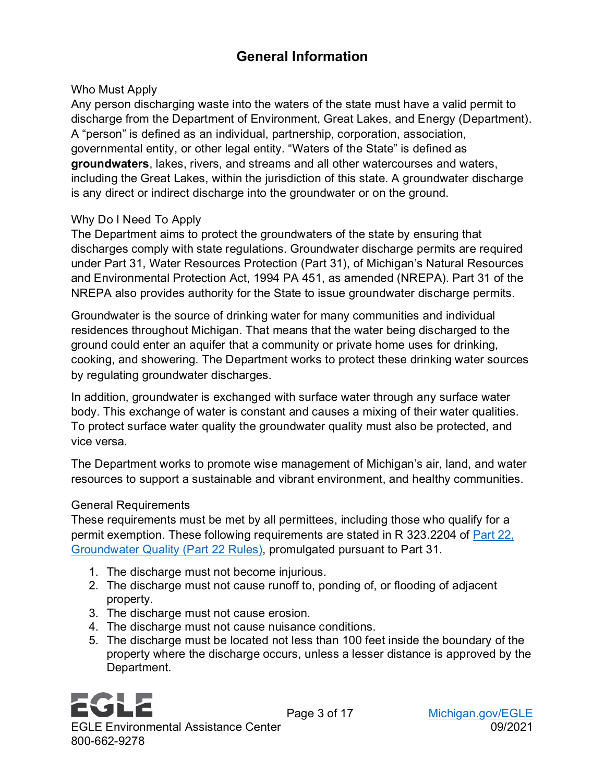## **General Information**

#### <span id="page-2-1"></span><span id="page-2-0"></span>Who Must Apply

Any person discharging waste into the waters of the state must have a valid permit to discharge from the Department of Environment, Great Lakes, and Energy (Department). A "person" is defined as an individual, partnership, corporation, association, governmental entity, or other legal entity. "Waters of the State" is defined as **groundwaters**, lakes, rivers, and streams and all other watercourses and waters, including the Great Lakes, within the jurisdiction of this state. A groundwater discharge is any direct or indirect discharge into the groundwater or on the ground.

#### <span id="page-2-2"></span>Why Do I Need To Apply

The Department aims to protect the groundwaters of the state by ensuring that discharges comply with state regulations. Groundwater discharge permits are required under Part 31, Water Resources Protection (Part 31), of Michigan's Natural Resources and Environmental Protection Act, 1994 PA 451, as amended (NREPA). Part 31 of the NREPA also provides authority for the State to issue groundwater discharge permits.

Groundwater is the source of drinking water for many communities and individual residences throughout Michigan. That means that the water being discharged to the ground could enter an aquifer that a community or private home uses for drinking, cooking, and showering. The Department works to protect these drinking water sources by regulating groundwater discharges.

In addition, groundwater is exchanged with surface water through any surface water body. This exchange of water is constant and causes a mixing of their water qualities. To protect surface water quality the groundwater quality must also be protected, and vice versa.

The Department works to promote wise management of Michigan's air, land, and water resources to support a sustainable and vibrant environment, and healthy communities.

#### <span id="page-2-3"></span>General Requirements

These requirements must be met by all permittees, including those who qualify for a permit exemption. These following requirements are stated in R 323.2204 of [Part 22,](https://ars.apps.lara.state.mi.us/AdminCode/DownloadAdminCodeFile?FileName=R%20323.2201%20to%20R%20323.2240.pdf&ReturnHTML=True) [Groundwater Quality \(Part 22 Rules\)](https://ars.apps.lara.state.mi.us/AdminCode/DownloadAdminCodeFile?FileName=R%20323.2201%20to%20R%20323.2240.pdf&ReturnHTML=True), promulgated pursuant to Part 31.

- 1. The discharge must not become injurious.
- 2. The discharge must not cause runoff to, ponding of, or flooding of adjacent property.
- 3. The discharge must not cause erosion.
- 4. The discharge must not cause nuisance conditions.
- 5. The discharge must be located not less than 100 feet inside the boundary of the property where the discharge occurs, unless a lesser distance is approved by the Department.

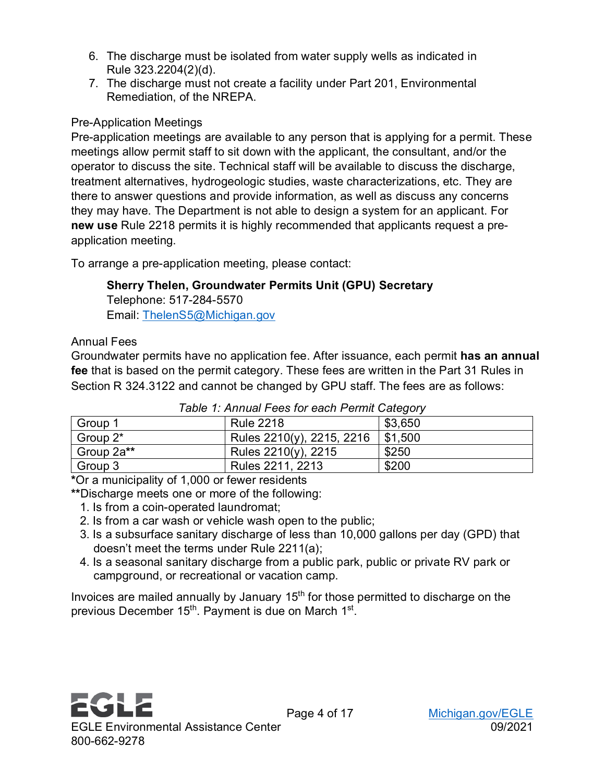- 6. The discharge must be isolated from water supply wells as indicated in Rule 323.2204(2)(d).
- 7. The discharge must not create a facility under Part 201, Environmental Remediation, of the NREPA.

## <span id="page-3-0"></span>Pre-Application Meetings

Pre-application meetings are available to any person that is applying for a permit. These meetings allow permit staff to sit down with the applicant, the consultant, and/or the operator to discuss the site. Technical staff will be available to discuss the discharge, treatment alternatives, hydrogeologic studies, waste characterizations, etc. They are there to answer questions and provide information, as well as discuss any concerns they may have. The Department is not able to design a system for an applicant. For **new use** Rule 2218 permits it is highly recommended that applicants request a preapplication meeting.

To arrange a pre-application meeting, please contact:

## **Sherry Thelen, Groundwater Permits Unit (GPU) Secretary**

Telephone: 517-284-5570 Email: ThelenS5@Michigan.gov

## <span id="page-3-1"></span>Annual Fees

Groundwater permits have no application fee. After issuance, each permit **has an annual fee** that is based on the permit category. These fees are written in the Part 31 Rules in Section R 324.3122 and cannot be changed by GPU staff. The fees are as follows:

| Group 1    | <b>Rule 2218</b>          | \$3,650 |
|------------|---------------------------|---------|
| Group 2*   | Rules 2210(y), 2215, 2216 | \$1,500 |
| Group 2a** | Rules 2210(y), 2215       | \$250   |
| Group 3    | Rules 2211, 2213          | \$200   |

**\***Or a municipality of 1,000 or fewer residents

**\*\***Discharge meets one or more of the following:

- 1. Is from a coin-operated laundromat;
- 2. Is from a car wash or vehicle wash open to the public;
- 3. Is a subsurface sanitary discharge of less than 10,000 gallons per day (GPD) that doesn't meet the terms under Rule 2211(a);
- 4. Is a seasonal sanitary discharge from a public park, public or private RV park or campground, or recreational or vacation camp.

Invoices are mailed annually by January 15<sup>th</sup> for those permitted to discharge on the previous December 15<sup>th</sup>. Payment is due on March 1<sup>st</sup>.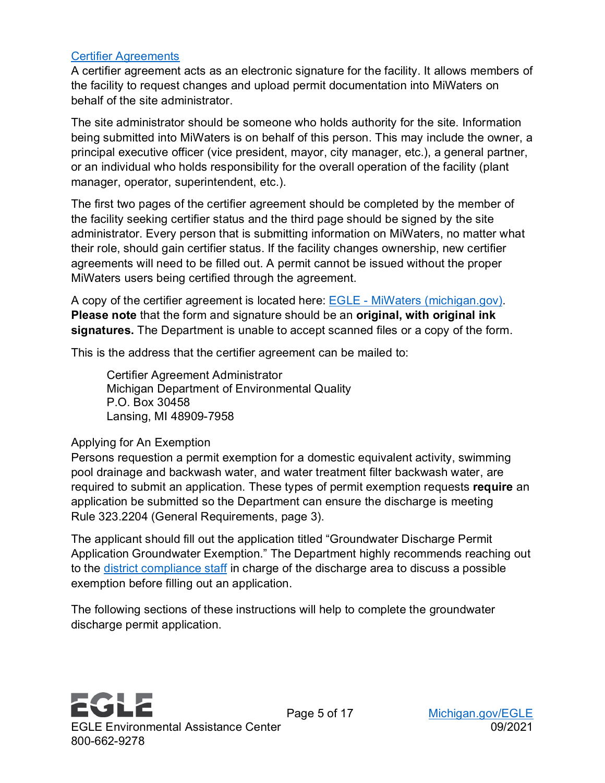#### <span id="page-4-0"></span>[Certifier Agreements](https://www.michigan.gov/documents/deq/wrd-miwaters-certifiers-agreement_494118_7.pdf)

A certifier agreement acts as an electronic signature for the facility. It allows members of the facility to request changes and upload permit documentation into MiWaters on behalf of the site administrator.

The site administrator should be someone who holds authority for the site. Information being submitted into MiWaters is on behalf of this person. This may include the owner, a principal executive officer (vice president, mayor, city manager, etc.), a general partner, or an individual who holds responsibility for the overall operation of the facility (plant manager, operator, superintendent, etc.).

The first two pages of the certifier agreement should be completed by the member of the facility seeking certifier status and the third page should be signed by the site administrator. Every person that is submitting information on MiWaters, no matter what their role, should gain certifier status. If the facility changes ownership, new certifier agreements will need to be filled out. A permit cannot be issued without the proper MiWaters users being certified through the agreement.

A copy of the certifier agreement is located here: EGLE - [MiWaters \(michigan.gov\).](https://www.michigan.gov/egle/0,9429,7-135-3313_72753---,00.html) **Please note** that the form and signature should be an **original, with original ink signatures.** The Department is unable to accept scanned files or a copy of the form.

This is the address that the certifier agreement can be mailed to:

Certifier Agreement Administrator Michigan Department of Environmental Quality P.O. Box 30458 Lansing, MI 48909-7958

#### <span id="page-4-1"></span>Applying for An Exemption

Persons requestion a permit exemption for a domestic equivalent activity, swimming pool drainage and backwash water, and water treatment filter backwash water, are required to submit an application. These types of permit exemption requests **require** an application be submitted so the Department can ensure the discharge is meeting Rule 323.2204 (General Requirements, page 3).

The applicant should fill out the application titled "Groundwater Discharge Permit Application Groundwater Exemption." The Department highly recommends reaching out to the [district compliance staff](https://www.michigan.gov/documents/deq/wrd-31gw-staff_344962_7.pdf) in charge of the discharge area to discuss a possible exemption before filling out an application.

The following sections of these instructions will help to complete the groundwater discharge permit application.

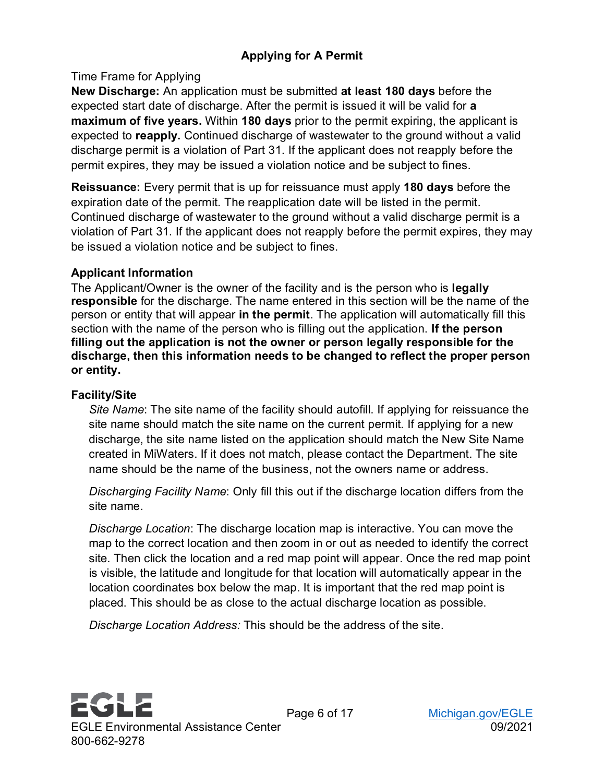## <span id="page-5-1"></span><span id="page-5-0"></span>Time Frame for Applying

**New Discharge:** An application must be submitted **at least 180 days** before the expected start date of discharge. After the permit is issued it will be valid for **a maximum of five years.** Within **180 days** prior to the permit expiring, the applicant is expected to **reapply.** Continued discharge of wastewater to the ground without a valid discharge permit is a violation of Part 31. If the applicant does not reapply before the permit expires, they may be issued a violation notice and be subject to fines.

**Reissuance:** Every permit that is up for reissuance must apply **180 days** before the expiration date of the permit. The reapplication date will be listed in the permit. Continued discharge of wastewater to the ground without a valid discharge permit is a violation of Part 31. If the applicant does not reapply before the permit expires, they may be issued a violation notice and be subject to fines.

## <span id="page-5-2"></span>**Applicant Information**

The Applicant/Owner is the owner of the facility and is the person who is **legally responsible** for the discharge. The name entered in this section will be the name of the person or entity that will appear **in the permit**. The application will automatically fill this section with the name of the person who is filling out the application. **If the person filling out the application is not the owner or person legally responsible for the discharge, then this information needs to be changed to reflect the proper person or entity.**

## <span id="page-5-3"></span>**Facility/Site**

*Site Name*: The site name of the facility should autofill. If applying for reissuance the site name should match the site name on the current permit. If applying for a new discharge, the site name listed on the application should match the New Site Name created in MiWaters. If it does not match, please contact the Department. The site name should be the name of the business, not the owners name or address.

*Discharging Facility Name*: Only fill this out if the discharge location differs from the site name.

*Discharge Location*: The discharge location map is interactive. You can move the map to the correct location and then zoom in or out as needed to identify the correct site. Then click the location and a red map point will appear. Once the red map point is visible, the latitude and longitude for that location will automatically appear in the location coordinates box below the map. It is important that the red map point is placed. This should be as close to the actual discharge location as possible.

*Discharge Location Address:* This should be the address of the site.

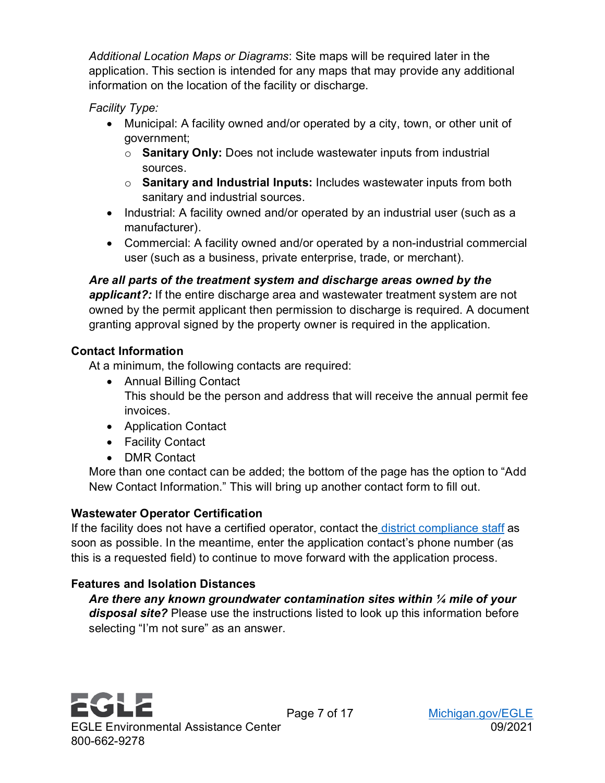*Additional Location Maps or Diagrams*: Site maps will be required later in the application. This section is intended for any maps that may provide any additional information on the location of the facility or discharge.

*Facility Type:* 

- Municipal: A facility owned and/or operated by a city, town, or other unit of government;
	- o **Sanitary Only:** Does not include wastewater inputs from industrial sources.
	- o **Sanitary and Industrial Inputs:** Includes wastewater inputs from both sanitary and industrial sources.
- Industrial: A facility owned and/or operated by an industrial user (such as a manufacturer).
- Commercial: A facility owned and/or operated by a non-industrial commercial user (such as a business, private enterprise, trade, or merchant).

*Are all parts of the treatment system and discharge areas owned by the applicant?:* If the entire discharge area and wastewater treatment system are not owned by the permit applicant then permission to discharge is required. A document granting approval signed by the property owner is required in the application.

## <span id="page-6-0"></span>**Contact Information**

At a minimum, the following contacts are required:

- Annual Billing Contact This should be the person and address that will receive the annual permit fee invoices.
- Application Contact
- Facility Contact
- DMR Contact

More than one contact can be added; the bottom of the page has the option to "Add New Contact Information." This will bring up another contact form to fill out.

## <span id="page-6-1"></span>**Wastewater Operator Certification**

If the facility does not have a certified operator, contact the [district compliance staff](https://www.michigan.gov/documents/deq/wrd-31gw-staff_344962_7.pdf) as soon as possible. In the meantime, enter the application contact's phone number (as this is a requested field) to continue to move forward with the application process.

## <span id="page-6-2"></span>**Features and Isolation Distances**

*Are there any known groundwater contamination sites within ¼ mile of your disposal site?* Please use the instructions listed to look up this information before selecting "I'm not sure" as an answer.

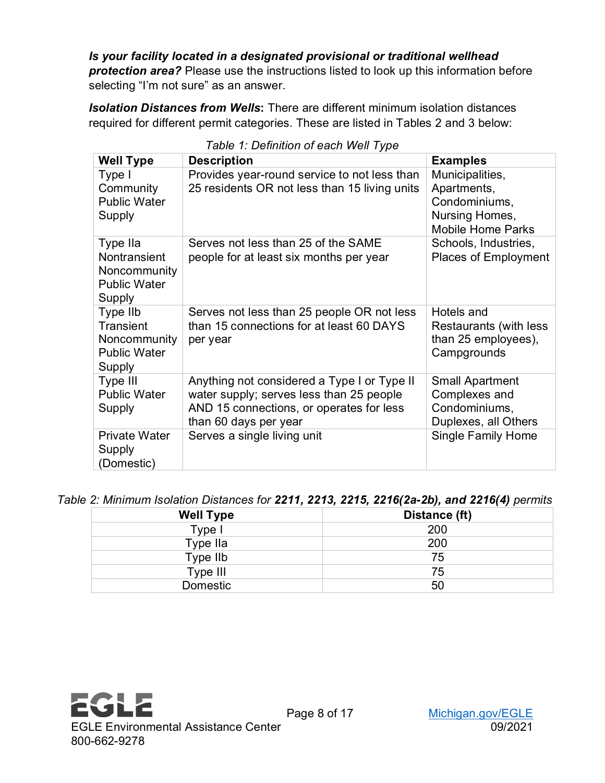*Is your facility located in a designated provisional or traditional wellhead protection area?* Please use the instructions listed to look up this information before selecting "I'm not sure" as an answer.

*Isolation Distances from Wells***:** There are different minimum isolation distances required for different permit categories. These are listed in Tables 2 and 3 below:

| <b>Well Type</b>                                                              | <b>Description</b>                                                                                                                                           | <b>Examples</b>                                                                               |
|-------------------------------------------------------------------------------|--------------------------------------------------------------------------------------------------------------------------------------------------------------|-----------------------------------------------------------------------------------------------|
| Type I<br>Community<br><b>Public Water</b><br>Supply                          | Provides year-round service to not less than<br>25 residents OR not less than 15 living units                                                                | Municipalities,<br>Apartments,<br>Condominiums,<br>Nursing Homes,<br><b>Mobile Home Parks</b> |
| Type IIa<br>Nontransient<br>Noncommunity<br><b>Public Water</b><br>Supply     | Serves not less than 25 of the SAME<br>people for at least six months per year                                                                               | Schools, Industries,<br><b>Places of Employment</b>                                           |
| Type IIb<br><b>Transient</b><br>Noncommunity<br><b>Public Water</b><br>Supply | Serves not less than 25 people OR not less<br>than 15 connections for at least 60 DAYS<br>per year                                                           | Hotels and<br>Restaurants (with less<br>than 25 employees),<br>Campgrounds                    |
| Type III<br><b>Public Water</b><br>Supply                                     | Anything not considered a Type I or Type II<br>water supply; serves less than 25 people<br>AND 15 connections, or operates for less<br>than 60 days per year | <b>Small Apartment</b><br>Complexes and<br>Condominiums,<br>Duplexes, all Others              |
| <b>Private Water</b><br>Supply<br>(Domestic)                                  | Serves a single living unit                                                                                                                                  | <b>Single Family Home</b>                                                                     |

#### *Table 1: Definition of each Well Type*

*Table 2: Minimum Isolation Distances for 2211, 2213, 2215, 2216(2a-2b), and 2216(4) permits*

| <b>Well Type</b> | Distance (ft) |
|------------------|---------------|
| Type I           | 200           |
| Type IIa         | 200           |
| Type IIb         | 75            |
| Type III         | 75            |
| Domestic         | 50            |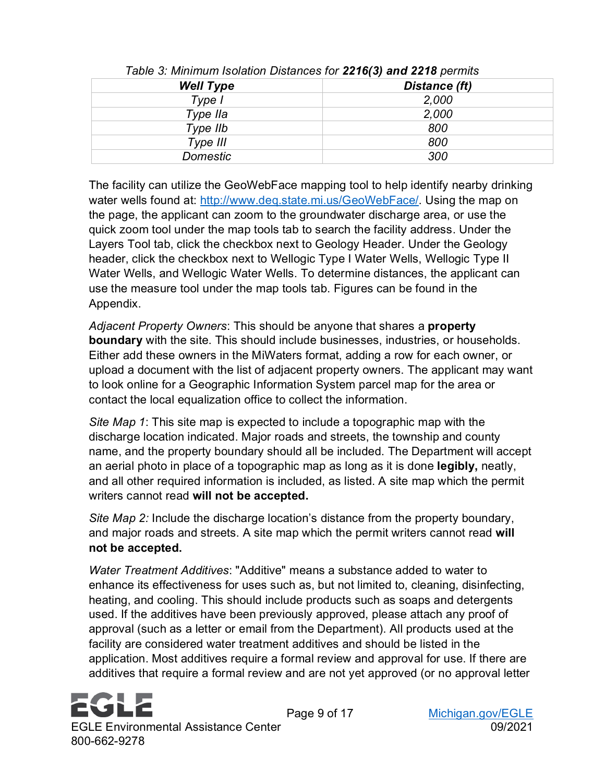| <b>Well Type</b> | Distance (ft) |  |
|------------------|---------------|--|
| Type I           | 2,000         |  |
| Type IIa         | 2,000         |  |
| Type IIb         | 800           |  |
| Type III         | 800           |  |
| <b>Domestic</b>  | 300           |  |

*Table 3: Minimum Isolation Distances for 2216(3) and 2218 permits*

The facility can utilize the GeoWebFace mapping tool to help identify nearby drinking water wells found at: [http://www.deq.state.mi.us/GeoWebFace/.](http://www.deq.state.mi.us/GeoWebFace/) Using the map on the page, the applicant can zoom to the groundwater discharge area, or use the quick zoom tool under the map tools tab to search the facility address. Under the Layers Tool tab, click the checkbox next to Geology Header. Under the Geology header, click the checkbox next to Wellogic Type I Water Wells, Wellogic Type II Water Wells, and Wellogic Water Wells. To determine distances, the applicant can use the measure tool under the map tools tab. Figures can be found in the Appendix.

*Adjacent Property Owners*: This should be anyone that shares a **property boundary** with the site. This should include businesses, industries, or households. Either add these owners in the MiWaters format, adding a row for each owner, or upload a document with the list of adjacent property owners. The applicant may want to look online for a Geographic Information System parcel map for the area or contact the local equalization office to collect the information.

*Site Map 1*: This site map is expected to include a topographic map with the discharge location indicated. Major roads and streets, the township and county name, and the property boundary should all be included. The Department will accept an aerial photo in place of a topographic map as long as it is done **legibly,** neatly, and all other required information is included, as listed. A site map which the permit writers cannot read **will not be accepted.**

*Site Map 2:* Include the discharge location's distance from the property boundary, and major roads and streets. A site map which the permit writers cannot read **will not be accepted.**

*Water Treatment Additives*: "Additive" means a substance added to water to enhance its effectiveness for uses such as, but not limited to, cleaning, disinfecting, heating, and cooling. This should include products such as soaps and detergents used. If the additives have been previously approved, please attach any proof of approval (such as a letter or email from the Department). All products used at the facility are considered water treatment additives and should be listed in the application. Most additives require a formal review and approval for use. If there are additives that require a formal review and are not yet approved (or no approval letter

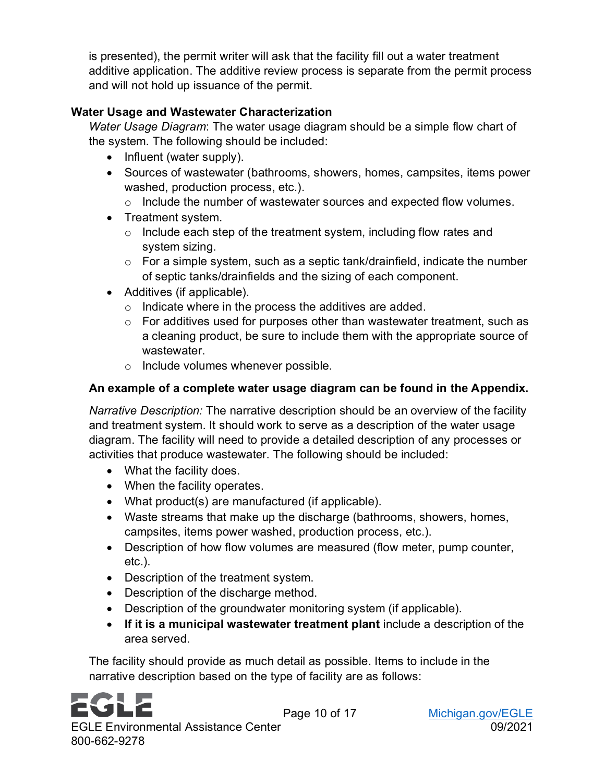is presented), the permit writer will ask that the facility fill out a water treatment additive application. The additive review process is separate from the permit process and will not hold up issuance of the permit.

## <span id="page-9-0"></span>**Water Usage and Wastewater Characterization**

*Water Usage Diagram*: The water usage diagram should be a simple flow chart of the system. The following should be included:

- Influent (water supply).
- Sources of wastewater (bathrooms, showers, homes, campsites, items power washed, production process, etc.).
	- o Include the number of wastewater sources and expected flow volumes.
- Treatment system.
	- $\circ$  Include each step of the treatment system, including flow rates and system sizing.
	- $\circ$  For a simple system, such as a septic tank/drainfield, indicate the number of septic tanks/drainfields and the sizing of each component.
- Additives (if applicable).
	- o Indicate where in the process the additives are added.
	- o For additives used for purposes other than wastewater treatment, such as a cleaning product, be sure to include them with the appropriate source of wastewater
	- o Include volumes whenever possible.

## **An example of a complete water usage diagram can be found in the Appendix.**

*Narrative Description:* The narrative description should be an overview of the facility and treatment system. It should work to serve as a description of the water usage diagram. The facility will need to provide a detailed description of any processes or activities that produce wastewater. The following should be included:

- What the facility does.
- When the facility operates.
- What product(s) are manufactured (if applicable).
- Waste streams that make up the discharge (bathrooms, showers, homes, campsites, items power washed, production process, etc.).
- Description of how flow volumes are measured (flow meter, pump counter, etc.).
- Description of the treatment system.
- Description of the discharge method.
- Description of the groundwater monitoring system (if applicable).
- **If it is a municipal wastewater treatment plant** include a description of the area served.

The facility should provide as much detail as possible. Items to include in the narrative description based on the type of facility are as follows:

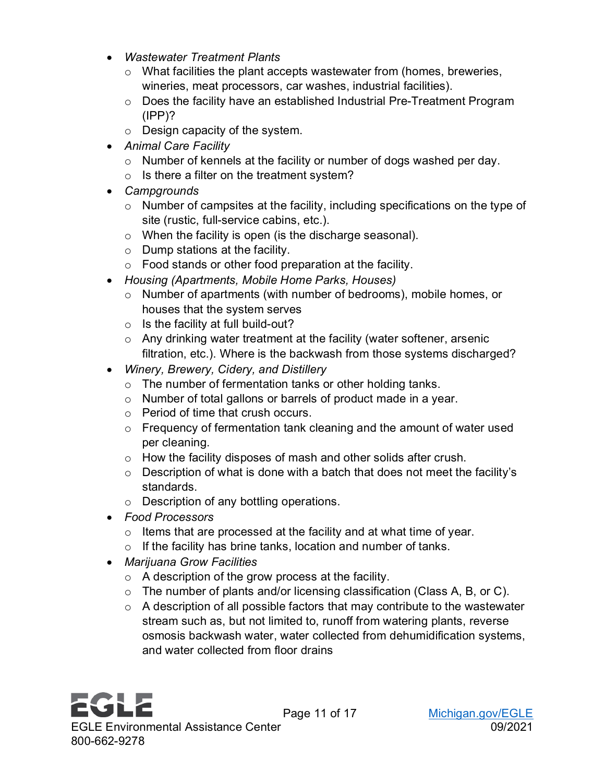- *Wastewater Treatment Plants*
	- o What facilities the plant accepts wastewater from (homes, breweries, wineries, meat processors, car washes, industrial facilities).
	- o Does the facility have an established Industrial Pre-Treatment Program  $(IPP)$ ?
	- o Design capacity of the system.
- *Animal Care Facility*
	- o Number of kennels at the facility or number of dogs washed per day.
	- $\circ$  Is there a filter on the treatment system?
- *Campgrounds*
	- o Number of campsites at the facility, including specifications on the type of site (rustic, full-service cabins, etc.).
	- o When the facility is open (is the discharge seasonal).
	- o Dump stations at the facility.
	- o Food stands or other food preparation at the facility.
- *Housing (Apartments, Mobile Home Parks, Houses)*
	- o Number of apartments (with number of bedrooms), mobile homes, or houses that the system serves
	- $\circ$  Is the facility at full build-out?
	- o Any drinking water treatment at the facility (water softener, arsenic filtration, etc.). Where is the backwash from those systems discharged?
- *Winery, Brewery, Cidery, and Distillery*
	- o The number of fermentation tanks or other holding tanks.
	- o Number of total gallons or barrels of product made in a year.
	- o Period of time that crush occurs.
	- $\circ$  Frequency of fermentation tank cleaning and the amount of water used per cleaning.
	- o How the facility disposes of mash and other solids after crush.
	- $\circ$  Description of what is done with a batch that does not meet the facility's standards.
	- o Description of any bottling operations.
- *Food Processors*
	- o Items that are processed at the facility and at what time of year.
	- $\circ$  If the facility has brine tanks, location and number of tanks.
- *Marijuana Grow Facilities*
	- $\circ$  A description of the grow process at the facility.
	- o The number of plants and/or licensing classification (Class A, B, or C).
	- $\circ$  A description of all possible factors that may contribute to the wastewater stream such as, but not limited to, runoff from watering plants, reverse osmosis backwash water, water collected from dehumidification systems, and water collected from floor drains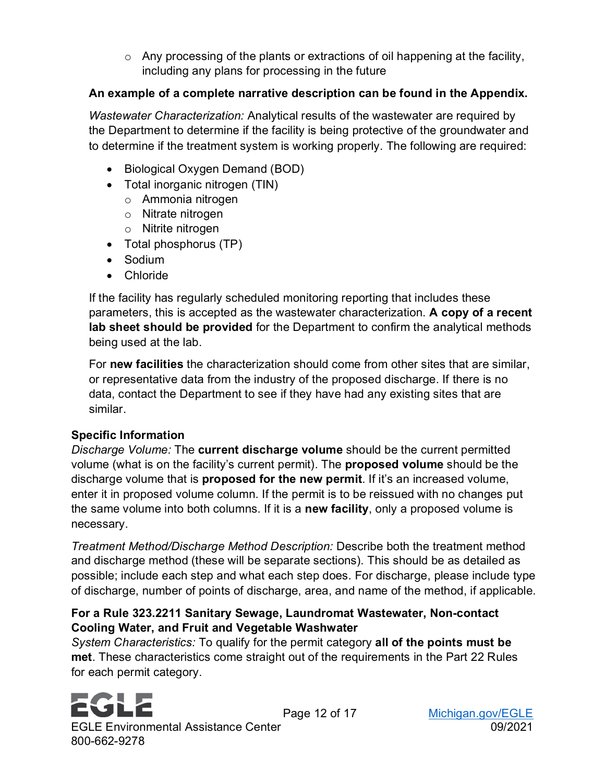$\circ$  Any processing of the plants or extractions of oil happening at the facility, including any plans for processing in the future

## **An example of a complete narrative description can be found in the Appendix.**

*Wastewater Characterization:* Analytical results of the wastewater are required by the Department to determine if the facility is being protective of the groundwater and to determine if the treatment system is working properly. The following are required:

- Biological Oxygen Demand (BOD)
- Total inorganic nitrogen (TIN)
	- o Ammonia nitrogen
	- o Nitrate nitrogen
	- o Nitrite nitrogen
- Total phosphorus (TP)
- Sodium
- Chloride

If the facility has regularly scheduled monitoring reporting that includes these parameters, this is accepted as the wastewater characterization. **A copy of a recent lab sheet should be provided** for the Department to confirm the analytical methods being used at the lab.

For **new facilities** the characterization should come from other sites that are similar, or representative data from the industry of the proposed discharge. If there is no data, contact the Department to see if they have had any existing sites that are similar.

## <span id="page-11-0"></span>**Specific Information**

*Discharge Volume:* The **current discharge volume** should be the current permitted volume (what is on the facility's current permit). The **proposed volume** should be the discharge volume that is **proposed for the new permit**. If it's an increased volume, enter it in proposed volume column. If the permit is to be reissued with no changes put the same volume into both columns. If it is a **new facility**, only a proposed volume is necessary.

*Treatment Method/Discharge Method Description:* Describe both the treatment method and discharge method (these will be separate sections). This should be as detailed as possible; include each step and what each step does. For discharge, please include type of discharge, number of points of discharge, area, and name of the method, if applicable.

## **For a Rule 323.2211 Sanitary Sewage, Laundromat Wastewater, Non-contact Cooling Water, and Fruit and Vegetable Washwater**

*System Characteristics:* To qualify for the permit category **all of the points must be met**. These characteristics come straight out of the requirements in the Part 22 Rules for each permit category.

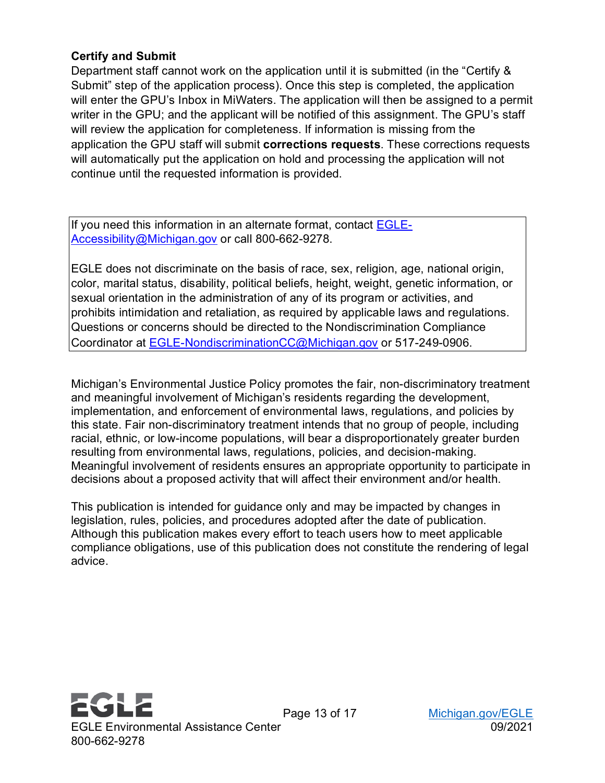#### <span id="page-12-0"></span>**Certify and Submit**

Department staff cannot work on the application until it is submitted (in the "Certify & Submit" step of the application process). Once this step is completed, the application will enter the GPU's Inbox in MiWaters. The application will then be assigned to a permit writer in the GPU; and the applicant will be notified of this assignment. The GPU's staff will review the application for completeness. If information is missing from the application the GPU staff will submit **corrections requests**. These corrections requests will automatically put the application on hold and processing the application will not continue until the requested information is provided.

If you need this information in an alternate format, contact **EGLE-**[Accessibility@Michigan.gov](mailto:EGLE-Accessibility@Michigan.gov) or call 800-662-9278.

EGLE does not discriminate on the basis of race, sex, religion, age, national origin, color, marital status, disability, political beliefs, height, weight, genetic information, or sexual orientation in the administration of any of its program or activities, and prohibits intimidation and retaliation, as required by applicable laws and regulations. Questions or concerns should be directed to the Nondiscrimination Compliance Coordinator at [EGLE-NondiscriminationCC@Michigan.gov](mailto:EGLE-NondiscriminationCC@Michigan.gov) or 517-249-0906.

Michigan's Environmental Justice Policy promotes the fair, non-discriminatory treatment and meaningful involvement of Michigan's residents regarding the development, implementation, and enforcement of environmental laws, regulations, and policies by this state. Fair non-discriminatory treatment intends that no group of people, including racial, ethnic, or low-income populations, will bear a disproportionately greater burden resulting from environmental laws, regulations, policies, and decision-making. Meaningful involvement of residents ensures an appropriate opportunity to participate in decisions about a proposed activity that will affect their environment and/or health.

This publication is intended for guidance only and may be impacted by changes in legislation, rules, policies, and procedures adopted after the date of publication. Although this publication makes every effort to teach users how to meet applicable compliance obligations, use of this publication does not constitute the rendering of legal advice.

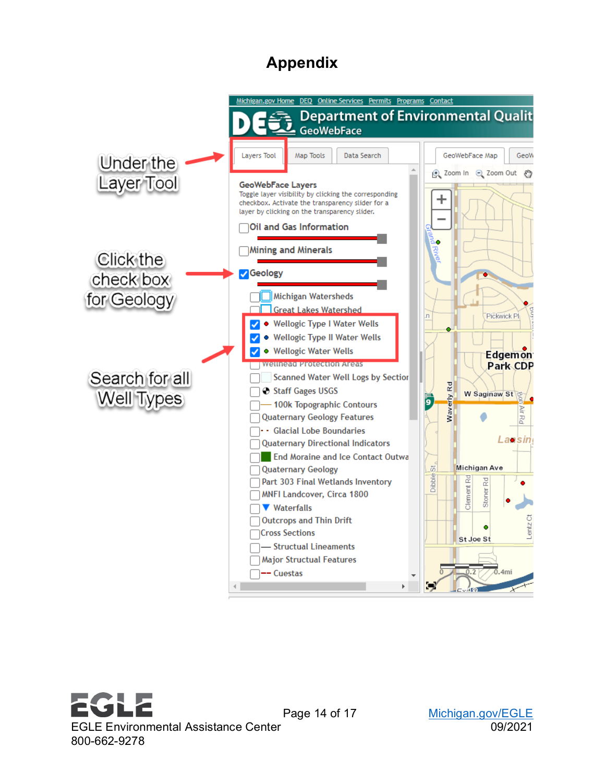## **Appendix**

<span id="page-13-0"></span>



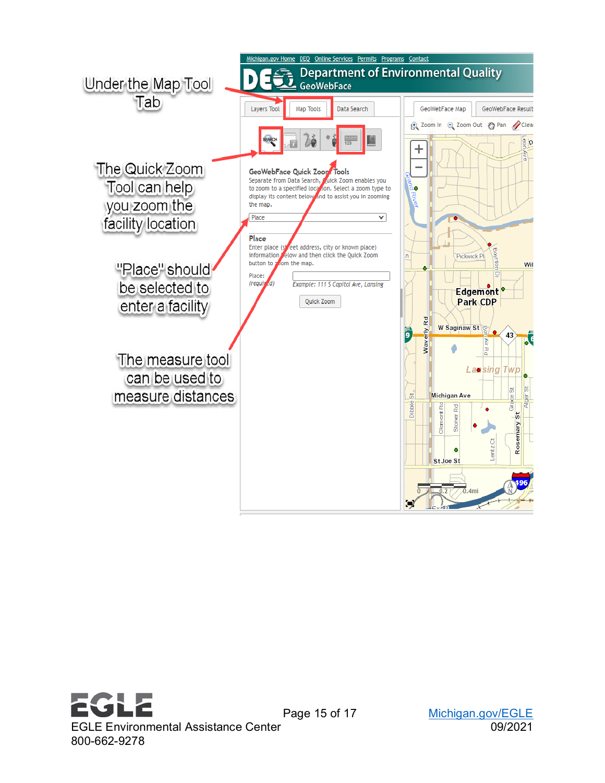



[Michigan.gov/EGLE](http://www.michigan.gov/egle)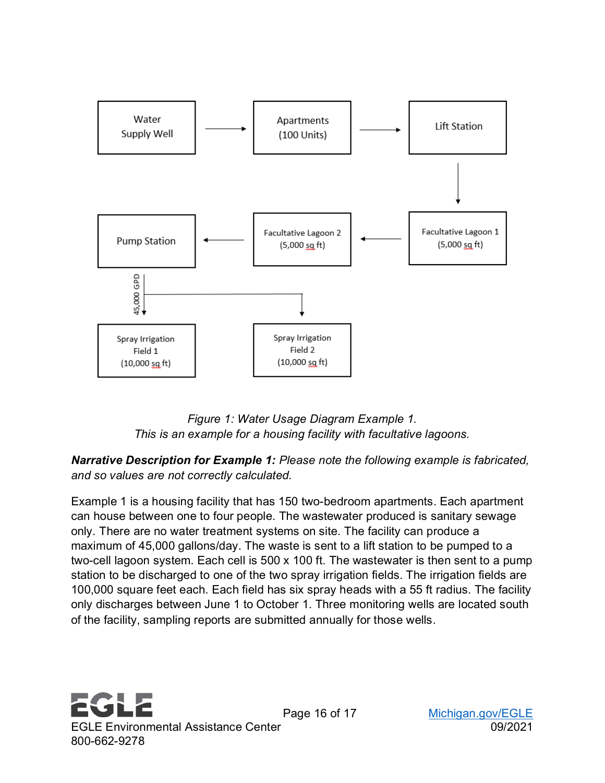

*Figure 1: Water Usage Diagram Example 1. This is an example for a housing facility with facultative lagoons.*

*Narrative Description for Example 1: Please note the following example is fabricated, and so values are not correctly calculated.* 

Example 1 is a housing facility that has 150 two-bedroom apartments. Each apartment can house between one to four people. The wastewater produced is sanitary sewage only. There are no water treatment systems on site. The facility can produce a maximum of 45,000 gallons/day. The waste is sent to a lift station to be pumped to a two-cell lagoon system. Each cell is 500 x 100 ft. The wastewater is then sent to a pump station to be discharged to one of the two spray irrigation fields. The irrigation fields are 100,000 square feet each. Each field has six spray heads with a 55 ft radius. The facility only discharges between June 1 to October 1. Three monitoring wells are located south of the facility, sampling reports are submitted annually for those wells.



Page 16 of 17 [Michigan.gov/EGLE](http://www.michigan.gov/egle)